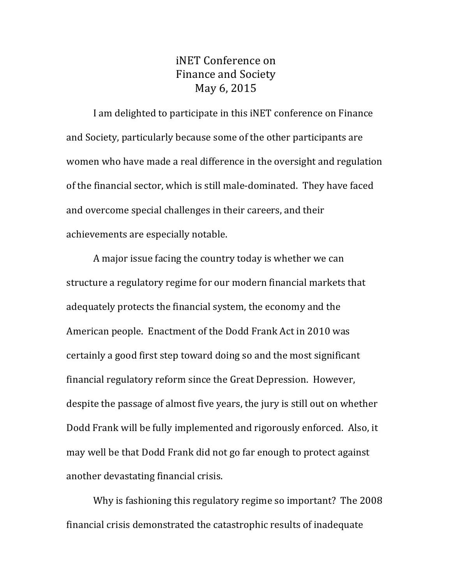## iNET Conference on Finance and Society May 6, 2015

I am delighted to participate in this iNET conference on Finance and Society, particularly because some of the other participants are women who have made a real difference in the oversight and regulation of the financial sector, which is still male-dominated. They have faced and overcome special challenges in their careers, and their achievements are especially notable.

A major issue facing the country today is whether we can structure a regulatory regime for our modern financial markets that adequately protects the financial system, the economy and the American people. Enactment of the Dodd Frank Act in 2010 was certainly a good first step toward doing so and the most significant financial regulatory reform since the Great Depression. However, despite the passage of almost five years, the jury is still out on whether Dodd Frank will be fully implemented and rigorously enforced. Also, it may well be that Dodd Frank did not go far enough to protect against another devastating financial crisis.

Why is fashioning this regulatory regime so important? The 2008 financial crisis demonstrated the catastrophic results of inadequate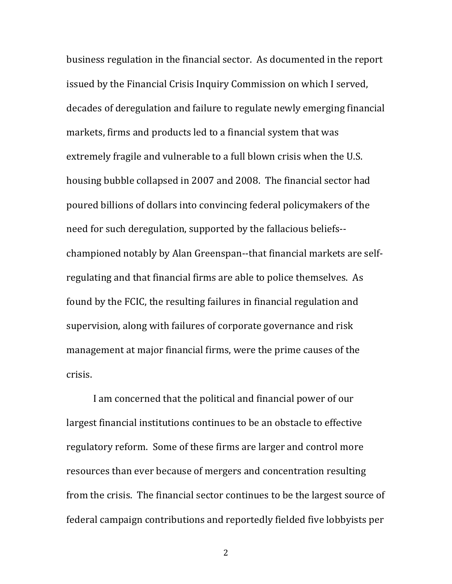business regulation in the financial sector. As documented in the report issued by the Financial Crisis Inquiry Commission on which I served, decades of deregulation and failure to regulate newly emerging financial markets, firms and products led to a financial system that was extremely fragile and vulnerable to a full blown crisis when the U.S. housing bubble collapsed in 2007 and 2008. The financial sector had poured billions of dollars into convincing federal policymakers of the need for such deregulation, supported by the fallacious beliefs-championed notably by Alan Greenspan--that financial markets are selfregulating and that financial firms are able to police themselves. As found by the FCIC, the resulting failures in financial regulation and supervision, along with failures of corporate governance and risk management at major financial firms, were the prime causes of the crisis.

I am concerned that the political and financial power of our largest financial institutions continues to be an obstacle to effective regulatory reform. Some of these firms are larger and control more resources than ever because of mergers and concentration resulting from the crisis. The financial sector continues to be the largest source of federal campaign contributions and reportedly fielded five lobbyists per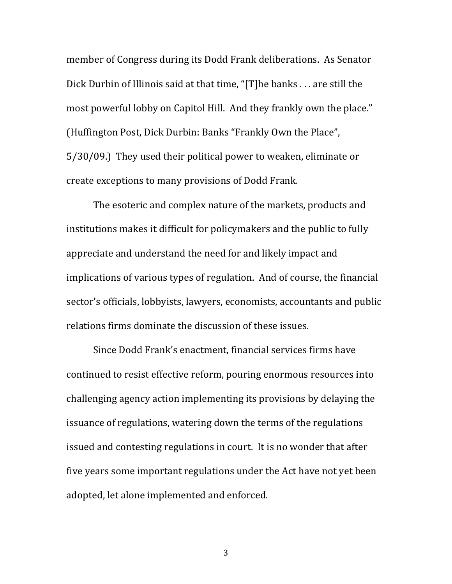member of Congress during its Dodd Frank deliberations. As Senator Dick Durbin of Illinois said at that time, "[T]he banks . . . are still the most powerful lobby on Capitol Hill. And they frankly own the place." (Huffington Post, Dick Durbin: Banks "Frankly Own the Place", 5/30/09.) They used their political power to weaken, eliminate or create exceptions to many provisions of Dodd Frank.

The esoteric and complex nature of the markets, products and institutions makes it difficult for policymakers and the public to fully appreciate and understand the need for and likely impact and implications of various types of regulation. And of course, the financial sector's officials, lobbyists, lawyers, economists, accountants and public relations firms dominate the discussion of these issues.

Since Dodd Frank's enactment, financial services firms have continued to resist effective reform, pouring enormous resources into challenging agency action implementing its provisions by delaying the issuance of regulations, watering down the terms of the regulations issued and contesting regulations in court. It is no wonder that after five years some important regulations under the Act have not yet been adopted, let alone implemented and enforced.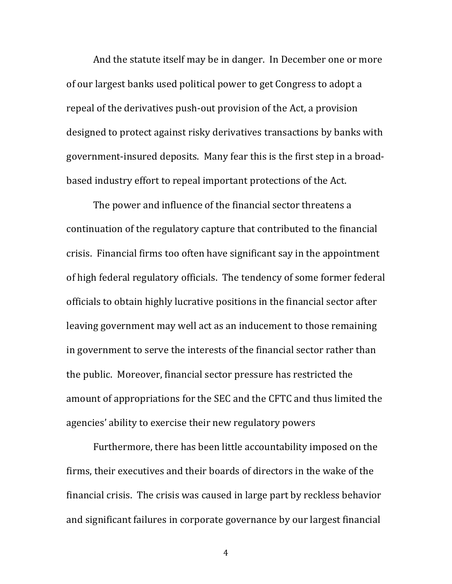And the statute itself may be in danger. In December one or more of our largest banks used political power to get Congress to adopt a repeal of the derivatives push-out provision of the Act, a provision designed to protect against risky derivatives transactions by banks with government-insured deposits. Many fear this is the first step in a broadbased industry effort to repeal important protections of the Act.

The power and influence of the financial sector threatens a continuation of the regulatory capture that contributed to the financial crisis. Financial firms too often have significant say in the appointment of high federal regulatory officials. The tendency of some former federal officials to obtain highly lucrative positions in the financial sector after leaving government may well act as an inducement to those remaining in government to serve the interests of the financial sector rather than the public. Moreover, financial sector pressure has restricted the amount of appropriations for the SEC and the CFTC and thus limited the agencies' ability to exercise their new regulatory powers

Furthermore, there has been little accountability imposed on the firms, their executives and their boards of directors in the wake of the financial crisis. The crisis was caused in large part by reckless behavior and significant failures in corporate governance by our largest financial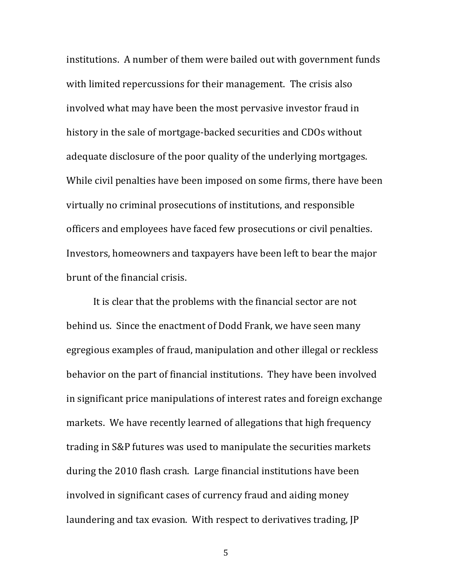institutions. A number of them were bailed out with government funds with limited repercussions for their management. The crisis also involved what may have been the most pervasive investor fraud in history in the sale of mortgage-backed securities and CDOs without adequate disclosure of the poor quality of the underlying mortgages. While civil penalties have been imposed on some firms, there have been virtually no criminal prosecutions of institutions, and responsible officers and employees have faced few prosecutions or civil penalties. Investors, homeowners and taxpayers have been left to bear the major brunt of the financial crisis.

It is clear that the problems with the financial sector are not behind us. Since the enactment of Dodd Frank, we have seen many egregious examples of fraud, manipulation and other illegal or reckless behavior on the part of financial institutions. They have been involved in significant price manipulations of interest rates and foreign exchange markets. We have recently learned of allegations that high frequency trading in S&P futures was used to manipulate the securities markets during the 2010 flash crash. Large financial institutions have been involved in significant cases of currency fraud and aiding money laundering and tax evasion. With respect to derivatives trading, JP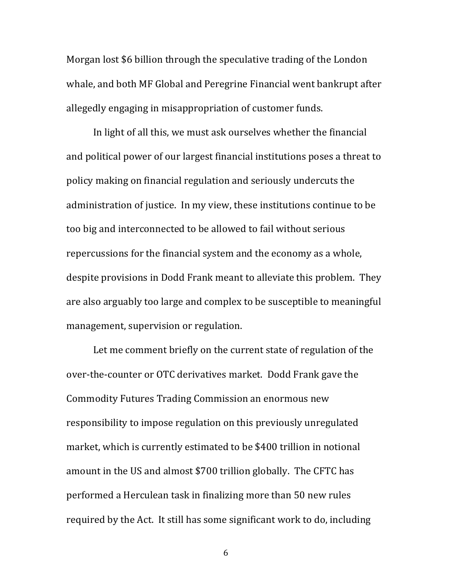Morgan lost \$6 billion through the speculative trading of the London whale, and both MF Global and Peregrine Financial went bankrupt after allegedly engaging in misappropriation of customer funds.

In light of all this, we must ask ourselves whether the financial and political power of our largest financial institutions poses a threat to policy making on financial regulation and seriously undercuts the administration of justice. In my view, these institutions continue to be too big and interconnected to be allowed to fail without serious repercussions for the financial system and the economy as a whole, despite provisions in Dodd Frank meant to alleviate this problem. They are also arguably too large and complex to be susceptible to meaningful management, supervision or regulation.

Let me comment briefly on the current state of regulation of the over-the-counter or OTC derivatives market. Dodd Frank gave the Commodity Futures Trading Commission an enormous new responsibility to impose regulation on this previously unregulated market, which is currently estimated to be \$400 trillion in notional amount in the US and almost \$700 trillion globally. The CFTC has performed a Herculean task in finalizing more than 50 new rules required by the Act. It still has some significant work to do, including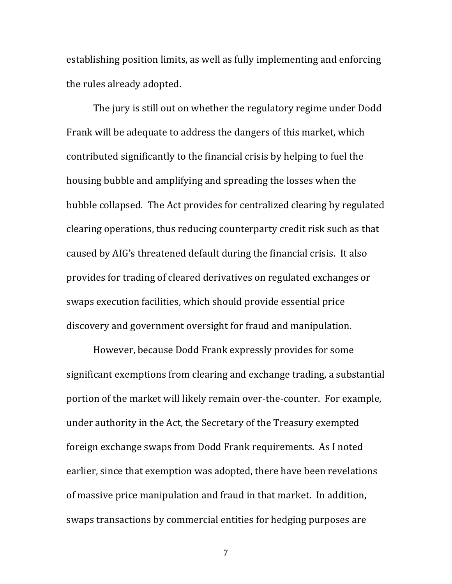establishing position limits, as well as fully implementing and enforcing the rules already adopted.

The jury is still out on whether the regulatory regime under Dodd Frank will be adequate to address the dangers of this market, which contributed significantly to the financial crisis by helping to fuel the housing bubble and amplifying and spreading the losses when the bubble collapsed. The Act provides for centralized clearing by regulated clearing operations, thus reducing counterparty credit risk such as that caused by AIG's threatened default during the financial crisis. It also provides for trading of cleared derivatives on regulated exchanges or swaps execution facilities, which should provide essential price discovery and government oversight for fraud and manipulation.

However, because Dodd Frank expressly provides for some significant exemptions from clearing and exchange trading, a substantial portion of the market will likely remain over-the-counter. For example, under authority in the Act, the Secretary of the Treasury exempted foreign exchange swaps from Dodd Frank requirements. As I noted earlier, since that exemption was adopted, there have been revelations of massive price manipulation and fraud in that market. In addition, swaps transactions by commercial entities for hedging purposes are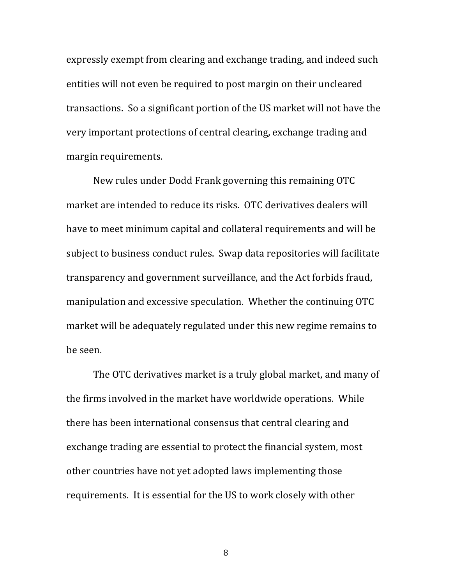expressly exempt from clearing and exchange trading, and indeed such entities will not even be required to post margin on their uncleared transactions. So a significant portion of the US market will not have the very important protections of central clearing, exchange trading and margin requirements.

New rules under Dodd Frank governing this remaining OTC market are intended to reduce its risks. OTC derivatives dealers will have to meet minimum capital and collateral requirements and will be subject to business conduct rules. Swap data repositories will facilitate transparency and government surveillance, and the Act forbids fraud, manipulation and excessive speculation. Whether the continuing OTC market will be adequately regulated under this new regime remains to be seen.

The OTC derivatives market is a truly global market, and many of the firms involved in the market have worldwide operations. While there has been international consensus that central clearing and exchange trading are essential to protect the financial system, most other countries have not yet adopted laws implementing those requirements. It is essential for the US to work closely with other